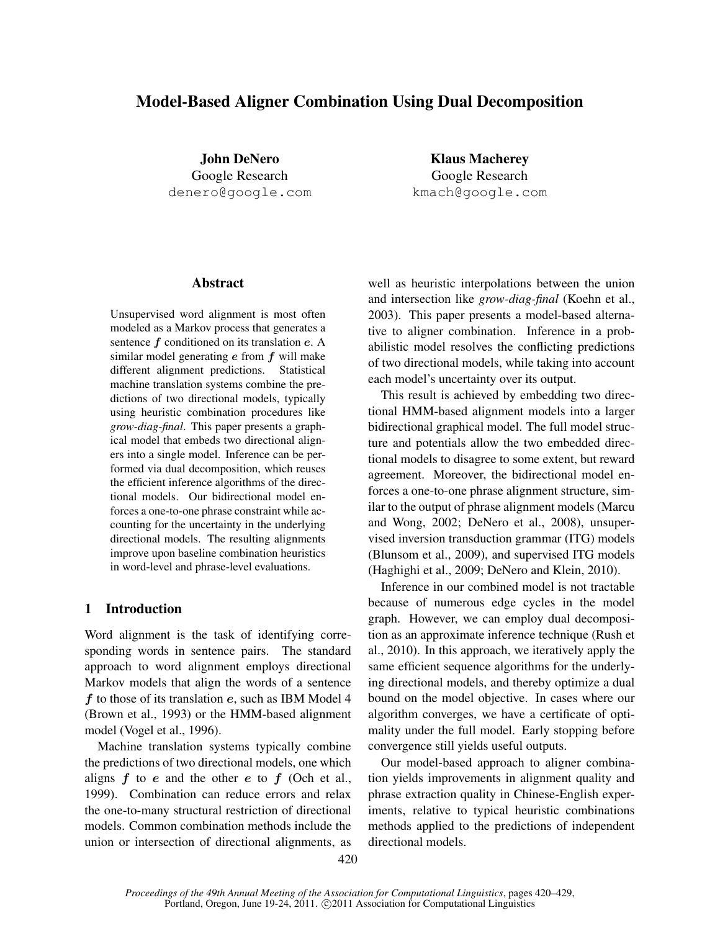# Model-Based Aligner Combination Using Dual Decomposition

John DeNero Google Research denero@google.com

Klaus Macherey Google Research kmach@google.com

## Abstract

Unsupervised word alignment is most often modeled as a Markov process that generates a sentence  $f$  conditioned on its translation  $e$ . A similar model generating  $e$  from  $f$  will make different alignment predictions. Statistical machine translation systems combine the predictions of two directional models, typically using heuristic combination procedures like *grow-diag-final*. This paper presents a graphical model that embeds two directional aligners into a single model. Inference can be performed via dual decomposition, which reuses the efficient inference algorithms of the directional models. Our bidirectional model enforces a one-to-one phrase constraint while accounting for the uncertainty in the underlying directional models. The resulting alignments improve upon baseline combination heuristics in word-level and phrase-level evaluations.

# 1 Introduction

Word alignment is the task of identifying corresponding words in sentence pairs. The standard approach to word alignment employs directional Markov models that align the words of a sentence  $f$  to those of its translation  $e$ , such as IBM Model 4 (Brown et al., 1993) or the HMM-based alignment model (Vogel et al., 1996).

Machine translation systems typically combine the predictions of two directional models, one which aligns  $f$  to  $e$  and the other  $e$  to  $f$  (Och et al., 1999). Combination can reduce errors and relax the one-to-many structural restriction of directional models. Common combination methods include the union or intersection of directional alignments, as well as heuristic interpolations between the union and intersection like *grow-diag-final* (Koehn et al., 2003). This paper presents a model-based alternative to aligner combination. Inference in a probabilistic model resolves the conflicting predictions of two directional models, while taking into account each model's uncertainty over its output.

This result is achieved by embedding two directional HMM-based alignment models into a larger bidirectional graphical model. The full model structure and potentials allow the two embedded directional models to disagree to some extent, but reward agreement. Moreover, the bidirectional model enforces a one-to-one phrase alignment structure, similar to the output of phrase alignment models (Marcu and Wong, 2002; DeNero et al., 2008), unsupervised inversion transduction grammar (ITG) models (Blunsom et al., 2009), and supervised ITG models (Haghighi et al., 2009; DeNero and Klein, 2010).

Inference in our combined model is not tractable because of numerous edge cycles in the model graph. However, we can employ dual decomposition as an approximate inference technique (Rush et al., 2010). In this approach, we iteratively apply the same efficient sequence algorithms for the underlying directional models, and thereby optimize a dual bound on the model objective. In cases where our algorithm converges, we have a certificate of optimality under the full model. Early stopping before convergence still yields useful outputs.

Our model-based approach to aligner combination yields improvements in alignment quality and phrase extraction quality in Chinese-English experiments, relative to typical heuristic combinations methods applied to the predictions of independent directional models.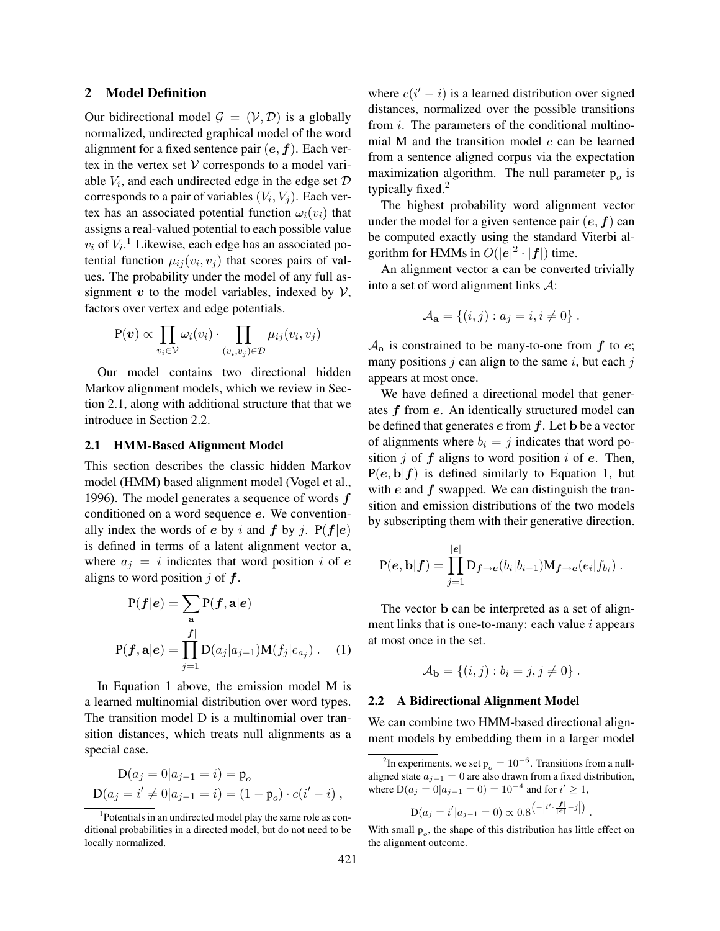#### 2 Model Definition

Our bidirectional model  $\mathcal{G} = (\mathcal{V}, \mathcal{D})$  is a globally normalized, undirected graphical model of the word alignment for a fixed sentence pair  $(e, f)$ . Each vertex in the vertex set  $V$  corresponds to a model variable  $V_i$ , and each undirected edge in the edge set  $D$ corresponds to a pair of variables  $(V_i, V_j)$ . Each vertex has an associated potential function  $\omega_i(v_i)$  that assigns a real-valued potential to each possible value  $v_i$  of  $V_i$ .<sup>1</sup> Likewise, each edge has an associated potential function  $\mu_{ij}(v_i, v_j)$  that scores pairs of values. The probability under the model of any full assignment  $v$  to the model variables, indexed by  $V$ , factors over vertex and edge potentials.

$$
P(\boldsymbol{v}) \propto \prod_{v_i \in \mathcal{V}} \omega_i(v_i) \cdot \prod_{(v_i, v_j) \in \mathcal{D}} \mu_{ij}(v_i, v_j)
$$

Our model contains two directional hidden Markov alignment models, which we review in Section 2.1, along with additional structure that that we introduce in Section 2.2.

## 2.1 HMM-Based Alignment Model

This section describes the classic hidden Markov model (HMM) based alignment model (Vogel et al., 1996). The model generates a sequence of words  $f$ conditioned on a word sequence e. We conventionally index the words of e by i and f by j.  $P(f|e)$ is defined in terms of a latent alignment vector a, where  $a_j = i$  indicates that word position i of e aligns to word position  $j$  of  $f$ .

$$
P(f|e) = \sum_{\mathbf{a}} P(f, \mathbf{a}|e)
$$

$$
P(f, \mathbf{a}|e) = \prod_{j=1}^{|f|} D(a_j|a_{j-1})M(f_j|e_{a_j}). \quad (1)
$$

In Equation 1 above, the emission model M is a learned multinomial distribution over word types. The transition model D is a multinomial over transition distances, which treats null alignments as a special case.

$$
D(a_j = 0|a_{j-1} = i) = p_o
$$
  
 
$$
D(a_j = i' \neq 0|a_{j-1} = i) = (1 - p_o) \cdot c(i' - i) ,
$$

where  $c(i'-i)$  is a learned distribution over signed distances, normalized over the possible transitions from i. The parameters of the conditional multinomial M and the transition model  $c$  can be learned from a sentence aligned corpus via the expectation maximization algorithm. The null parameter  $p<sub>o</sub>$  is typically fixed.<sup>2</sup>

The highest probability word alignment vector under the model for a given sentence pair  $(e, f)$  can be computed exactly using the standard Viterbi algorithm for HMMs in  $O(|e|^2 \cdot |f|)$  time.

An alignment vector a can be converted trivially into a set of word alignment links A:

$$
\mathcal{A}_{\mathbf{a}} = \{(i, j) : a_j = i, i \neq 0\}.
$$

 $\mathcal{A}_a$  is constrained to be many-to-one from f to e; many positions  $j$  can align to the same  $i$ , but each  $j$ appears at most once.

We have defined a directional model that generates  $f$  from  $e$ . An identically structured model can be defined that generates  $e$  from  $f$ . Let b be a vector of alignments where  $b_i = j$  indicates that word position  $j$  of  $f$  aligns to word position  $i$  of  $e$ . Then,  $P(e, b|f)$  is defined similarly to Equation 1, but with  $e$  and  $f$  swapped. We can distinguish the transition and emission distributions of the two models by subscripting them with their generative direction.

$$
P(e, b|f) = \prod_{j=1}^{|e|} D_{f \to e}(b_i|b_{i-1}) M_{f \to e}(e_i|f_{b_i}).
$$

The vector b can be interpreted as a set of alignment links that is one-to-many: each value  $i$  appears at most once in the set.

$$
A_{\mathbf{b}} = \{(i, j) : b_i = j, j \neq 0\}.
$$

#### 2.2 A Bidirectional Alignment Model

We can combine two HMM-based directional alignment models by embedding them in a larger model

$$
D(a_j = i'|a_{j-1} = 0) \propto 0.8^{-\left|i'\cdot\frac{|f|}{|e|} - j\right|}
$$

.

<sup>&</sup>lt;sup>1</sup>Potentials in an undirected model play the same role as conditional probabilities in a directed model, but do not need to be locally normalized.

<sup>&</sup>lt;sup>2</sup>In experiments, we set  $p_o = 10^{-6}$ . Transitions from a nullaligned state  $a_{j-1} = 0$  are also drawn from a fixed distribution, where  $D(a_j = 0|a_{j-1} = 0) = 10^{-4}$  and for  $i' \ge 1$ ,

With small  $p<sub>o</sub>$ , the shape of this distribution has little effect on the alignment outcome.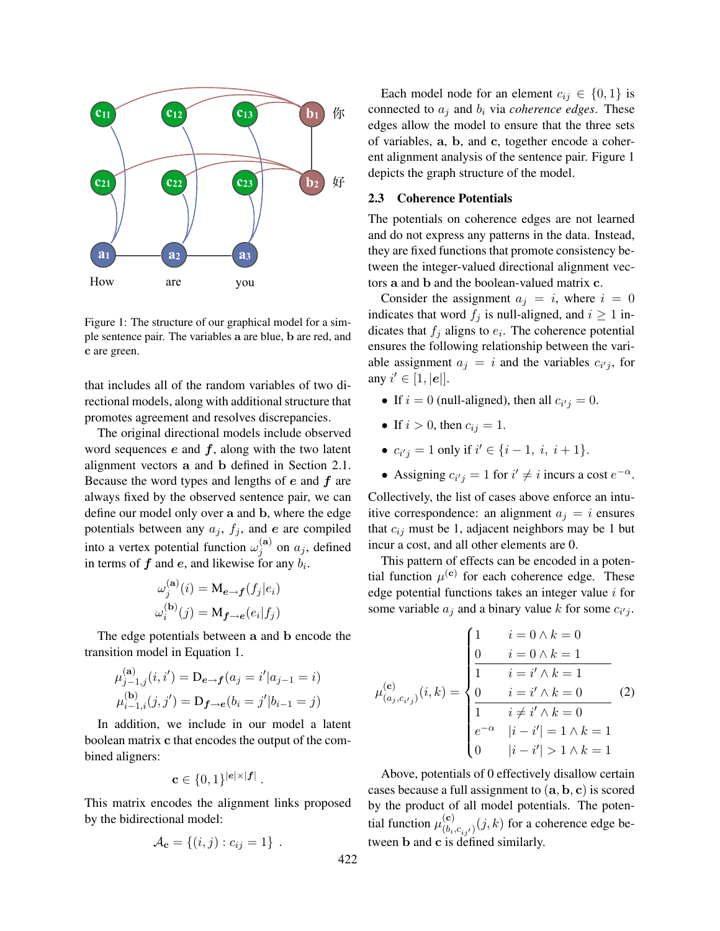

Figure 1: The structure of our graphical model for a simple sentence pair. The variables a are blue, b are red, and c are green.

promotes agreement and resolves discrepancies. that includes all of the random variables of two directional models, along with additional structure that

**c** because the word types and lengths of e and f are always fixed by the observed sentence pair, we can in terms of  $f$  and  $e$ , and likewise for any  $b_i$ . The original directional models include observed word sequences  $e$  and  $f$ , along with the two latent alignment vectors a and b defined in Section 2.1. Because the word types and lengths of  $e$  and  $f$  are define our model only over a and b, where the edge potentials between any  $a_j$ ,  $f_j$ , and  $e$  are compiled into a vertex potential function  $\omega_i^{(a)}$  $j^{(a)}$  on  $a_j$ , defined

$$
\omega_j^{(\mathbf{a})}(i) = \mathbf{M}_{e \to f}(f_j|e_i)
$$
  
\n
$$
\omega_i^{(\mathbf{b})}(j) = \mathbf{M}_{f \to e}(e_i|f_j)
$$
  
\n
$$
\text{son}
$$

The edge potentials between a and b encode the transition model in Equation 1.

$$
\mu_{j-1,j}^{(\mathbf{a})}(i,i') = \mathbf{D}_{e \to f}(a_j = i'|a_{j-1} = i)
$$
  

$$
\mu_{i-1,i}^{(\mathbf{b})}(j,j') = \mathbf{D}_{f \to e}(b_i = j'|b_{i-1} = j)
$$

In addition, we include in our model a latent boolean matrix c that encodes the output of the combined aligners:

$$
\mathbf{c} \in \{0,1\}^{|\mathbf{e}|\times|\mathbf{f}|}.
$$

This matrix encodes the alignment links proposed by the bidirectional model:

$$
\mathcal{A}_{\mathbf{c}} = \{(i,j): c_{ij} = 1\}.
$$

ent alignment analysis of the sentence pair. Figure 1 edges allow the model to ensure that the three sets Each model node for an element  $c_{ij} \in \{0, 1\}$  is connected to  $a_j$  and  $b_i$  via *coherence edges*. These of variables, a, b, and c, together encode a coherdepicts the graph structure of the model.

# 2.3 Coherence Potentials

**a1 a2 a3** tween the integer-valued directional alignment vec-The potentials on coherence edges are not learned and do not express any patterns in the data. Instead, they are fixed functions that promote consistency betors a and b and the boolean-valued matrix c.

Consider the assignment  $a_j = i$ , where  $i = 0$ indicates that word  $f_j$  is null-aligned, and  $i \ge 1$  indicates that  $f_j$  aligns to  $e_i$ . The coherence potential ensures the following relationship between the variable assignment  $a_j = i$  and the variables  $c_{i'j}$ , for any  $i' \in [1, |\mathbf{e}|].$ 

- If  $i = 0$  (null-aligned), then all  $c_{i'j} = 0$ .
- If  $i > 0$ , then  $c_{ij} = 1$ .
- $c_{i'j} = 1$  only if  $i' \in \{i-1, i, i+1\}.$
- Assigning  $c_{i'j} = 1$  for  $i' \neq i$  incurs a cost  $e^{-\alpha}$ .

Collectively, the list of cases above enforce an intuitive correspondence: an alignment  $a_i = i$  ensures that  $c_{ij}$  must be 1, adjacent neighbors may be 1 but incur a cost, and all other elements are 0.

This pattern of effects can be encoded in a potential function  $\mu^{(c)}$  for each coherence edge. These edge potential functions takes an integer value  $i$  for some variable  $a_j$  and a binary value k for some  $c_{i'j}$ .

$$
\mu_{(a_j, c_{i'j})}^{(c)}(i, k) = \begin{cases}\n1 & i = 0 \land k = 0 \\
0 & i = 0 \land k = 1 \\
\frac{1}{1} & i = i' \land k = 1 \\
\frac{0}{1} & i = i' \land k = 0 \\
\frac{0}{1} & i \neq i' \land k = 0 \\
e^{-\alpha} & |i - i'| = 1 \land k = 1 \\
0 & |i - i'| > 1 \land k = 1\n\end{cases}
$$
\n(2)

Above, potentials of 0 effectively disallow certain cases because a full assignment to (a, b, c) is scored by the product of all model potentials. The potential function  $\mu_{(b)}^{(c)}$  $\binom{e}{(b_i,c_{ij'})}(j,k)$  for a coherence edge between b and c is defined similarly.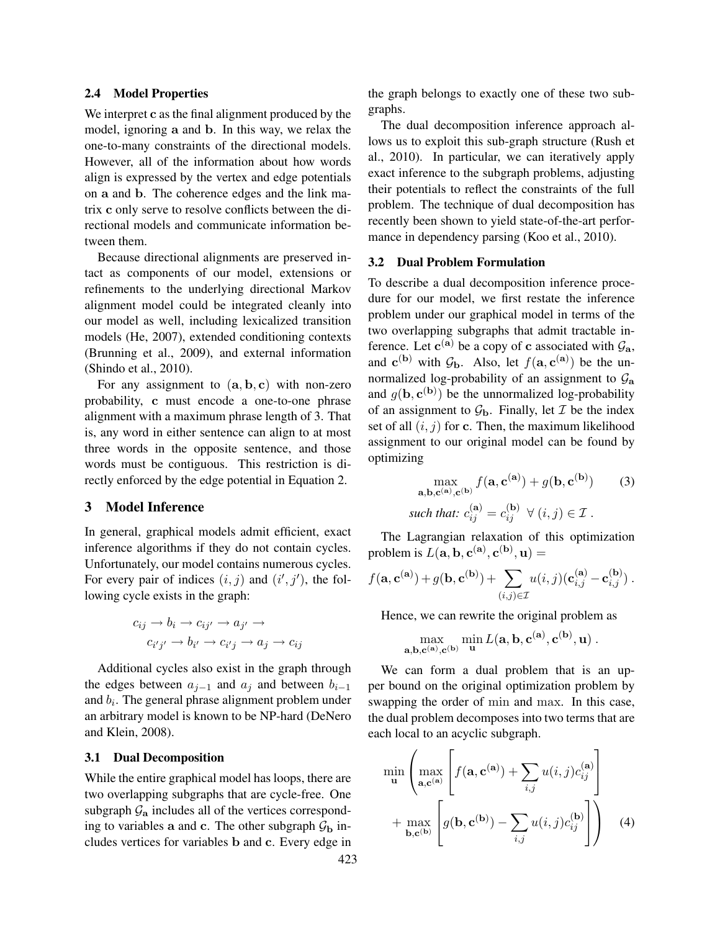#### 2.4 Model Properties

We interpret c as the final alignment produced by the model, ignoring a and b. In this way, we relax the one-to-many constraints of the directional models. However, all of the information about how words align is expressed by the vertex and edge potentials on a and b. The coherence edges and the link matrix c only serve to resolve conflicts between the directional models and communicate information between them.

Because directional alignments are preserved intact as components of our model, extensions or refinements to the underlying directional Markov alignment model could be integrated cleanly into our model as well, including lexicalized transition models (He, 2007), extended conditioning contexts (Brunning et al., 2009), and external information (Shindo et al., 2010).

For any assignment to  $(a, b, c)$  with non-zero probability, c must encode a one-to-one phrase alignment with a maximum phrase length of 3. That is, any word in either sentence can align to at most three words in the opposite sentence, and those words must be contiguous. This restriction is directly enforced by the edge potential in Equation 2.

# 3 Model Inference

In general, graphical models admit efficient, exact inference algorithms if they do not contain cycles. Unfortunately, our model contains numerous cycles. For every pair of indices  $(i, j)$  and  $(i', j')$ , the following cycle exists in the graph:

$$
c_{ij} \to b_i \to c_{ij'} \to a_{j'} \to c_{i'j'} \to b_{i'} \to c_{i'j} \to a_j \to c_{ij}
$$

Additional cycles also exist in the graph through the edges between  $a_{i-1}$  and  $a_i$  and between  $b_{i-1}$ and  $b_i$ . The general phrase alignment problem under an arbitrary model is known to be NP-hard (DeNero and Klein, 2008).

#### 3.1 Dual Decomposition

While the entire graphical model has loops, there are two overlapping subgraphs that are cycle-free. One subgraph  $\mathcal{G}_a$  includes all of the vertices corresponding to variables a and c. The other subgraph  $\mathcal{G}_b$  includes vertices for variables b and c. Every edge in the graph belongs to exactly one of these two subgraphs.

The dual decomposition inference approach allows us to exploit this sub-graph structure (Rush et al., 2010). In particular, we can iteratively apply exact inference to the subgraph problems, adjusting their potentials to reflect the constraints of the full problem. The technique of dual decomposition has recently been shown to yield state-of-the-art performance in dependency parsing (Koo et al., 2010).

#### 3.2 Dual Problem Formulation

To describe a dual decomposition inference procedure for our model, we first restate the inference problem under our graphical model in terms of the two overlapping subgraphs that admit tractable inference. Let  $c^{(a)}$  be a copy of c associated with  $\mathcal{G}_a$ , and  $c^{(b)}$  with  $\mathcal{G}_b$ . Also, let  $f(a, c^{(a)})$  be the unnormalized log-probability of an assignment to  $\mathcal{G}_a$ and  $g(\mathbf{b}, \mathbf{c}^{(\mathbf{b})})$  be the unnormalized log-probability of an assignment to  $\mathcal{G}_b$ . Finally, let  $\mathcal I$  be the index set of all  $(i, j)$  for c. Then, the maximum likelihood assignment to our original model can be found by optimizing

$$
\max_{\mathbf{a},\mathbf{b},\mathbf{c}^{(\mathbf{a}),\mathbf{c}^{(\mathbf{b})}}} f(\mathbf{a},\mathbf{c}^{(\mathbf{a})}) + g(\mathbf{b},\mathbf{c}^{(\mathbf{b})}) \qquad (3)
$$
  
such that:  $c_{ij}^{(\mathbf{a})} = c_{ij}^{(\mathbf{b})} \ \forall \ (i,j) \in \mathcal{I} .$ 

The Lagrangian relaxation of this optimization problem is  $L(\mathbf{a}, \mathbf{b}, \mathbf{c}^{(\mathbf{a})}, \mathbf{c}^{(\mathbf{b})}, \mathbf{u}) =$ 

$$
f(\mathbf{a}, \mathbf{c}^{(\mathbf{a})}) + g(\mathbf{b}, \mathbf{c}^{(\mathbf{b})}) + \sum_{(i,j) \in \mathcal{I}} u(i,j) (\mathbf{c}_{i,j}^{(\mathbf{a})} - \mathbf{c}_{i,j}^{(\mathbf{b})}).
$$

Hence, we can rewrite the original problem as

$$
\max_{\mathbf{a},\mathbf{b},\mathbf{c}^{(\mathbf{a})},\mathbf{c}^{(\mathbf{b})}} \min_{\mathbf{u}} L(\mathbf{a},\mathbf{b},\mathbf{c}^{(\mathbf{a})},\mathbf{c}^{(\mathbf{b})},\mathbf{u})
$$
.

We can form a dual problem that is an upper bound on the original optimization problem by swapping the order of min and max. In this case, the dual problem decomposes into two terms that are each local to an acyclic subgraph.

$$
\min_{\mathbf{u}} \left( \max_{\mathbf{a}, \mathbf{c}^{(\mathbf{a})}} \left[ f(\mathbf{a}, \mathbf{c}^{(\mathbf{a})}) + \sum_{i,j} u(i,j) c_{ij}^{(\mathbf{a})} \right] + \max_{\mathbf{b}, \mathbf{c}^{(\mathbf{b})}} \left[ g(\mathbf{b}, \mathbf{c}^{(\mathbf{b})}) - \sum_{i,j} u(i,j) c_{ij}^{(\mathbf{b})} \right] \right) \quad (4)
$$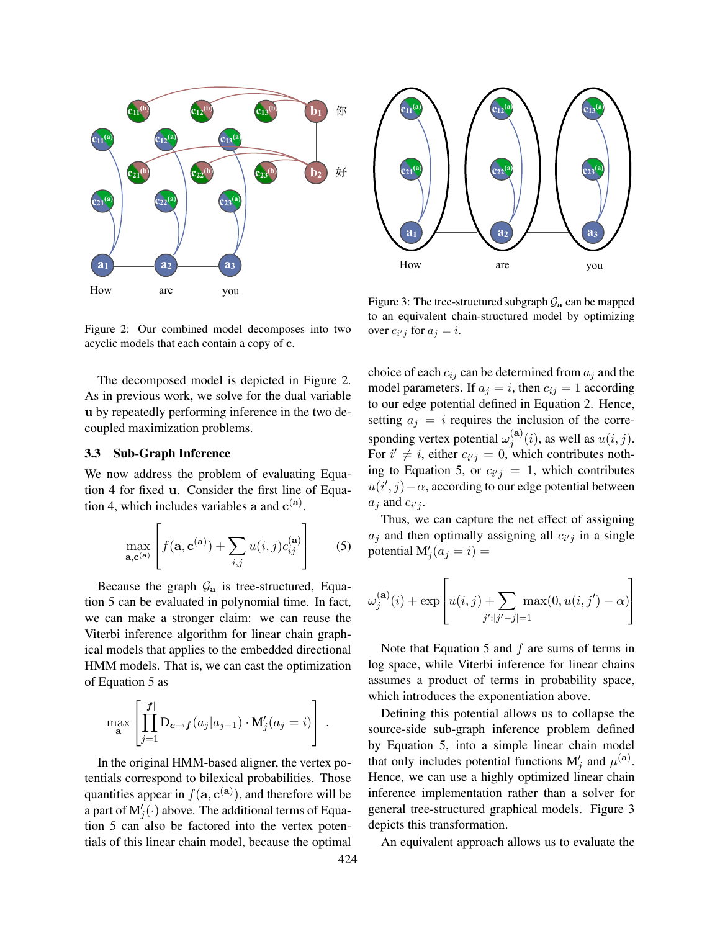



Figure 2: Our combined model decomposes into two acyclic models that each contain a copy of c.

The decomposed model is depicted in Figure 2. As in previous work, we solve for the dual variable u by repeatedly performing inference in the two decoupled maximization problems.

#### 3.3 Sub-Graph Inference

We now address the problem of evaluating Equation 4 for fixed u. Consider the first line of Equation 4, which includes variables a and  $c^{(a)}$ .

$$
\max_{\mathbf{a}, \mathbf{c}^{(\mathbf{a})}} \left[ f(\mathbf{a}, \mathbf{c}^{(\mathbf{a})}) + \sum_{i,j} u(i,j) c_{ij}^{(\mathbf{a})} \right]
$$
(5)

Because the graph  $\mathcal{G}_a$  is tree-structured, Equation 5 can be evaluated in polynomial time. In fact, we can make a stronger claim: we can reuse the Viterbi inference algorithm for linear chain graphical models that applies to the embedded directional HMM models. That is, we can cast the optimization of Equation 5 as

$$
\max_{\mathbf{a}} \left[ \prod_{j=1}^{|f|} \mathbf{D}_{e \to f}(a_j | a_{j-1}) \cdot \mathbf{M}'_j(a_j = i) \right].
$$

In the original HMM-based aligner, the vertex potentials correspond to bilexical probabilities. Those quantities appear in  $f(\mathbf{a}, \mathbf{c}^{(\mathbf{a})})$ , and therefore will be a part of  $\mathbf{M}'_j(\cdot)$  above. The additional terms of Equation 5 can also be factored into the vertex potentials of this linear chain model, because the optimal

Figure 3: The tree-structured subgraph  $\mathcal{G}_a$  can be mapped to an equivalent chain-structured model by optimizing over  $c_{i'j}$  for  $a_j = i$ .

choice of each  $c_{ij}$  can be determined from  $a_j$  and the model parameters. If  $a_j = i$ , then  $c_{ij} = 1$  according to our edge potential defined in Equation 2. Hence, setting  $a_j = i$  requires the inclusion of the corresponding vertex potential  $\omega_i^{(a)}$  $j^{(a)}(i)$ , as well as  $u(i, j)$ . For  $i' \neq i$ , either  $c_{i'j} = 0$ , which contributes nothing to Equation 5, or  $c_{i'j} = 1$ , which contributes  $u(i', j) - \alpha$ , according to our edge potential between  $a_j$  and  $c_{i'j}$ .

Thus, we can capture the net effect of assigning  $a_j$  and then optimally assigning all  $c_{i'j}$  in a single potential  $M'_j(a_j = i) =$ 

$$
\omega_j^{(\mathbf{a})}(i) + \exp\left[u(i,j) + \sum_{j':|j'-j|=1} \max(0, u(i,j') - \alpha)\right]
$$

Note that Equation 5 and  $f$  are sums of terms in log space, while Viterbi inference for linear chains assumes a product of terms in probability space, which introduces the exponentiation above.

Defining this potential allows us to collapse the source-side sub-graph inference problem defined by Equation 5, into a simple linear chain model that only includes potential functions  $M'_j$  and  $\mu^{(a)}$ . Hence, we can use a highly optimized linear chain inference implementation rather than a solver for general tree-structured graphical models. Figure 3 depicts this transformation.

An equivalent approach allows us to evaluate the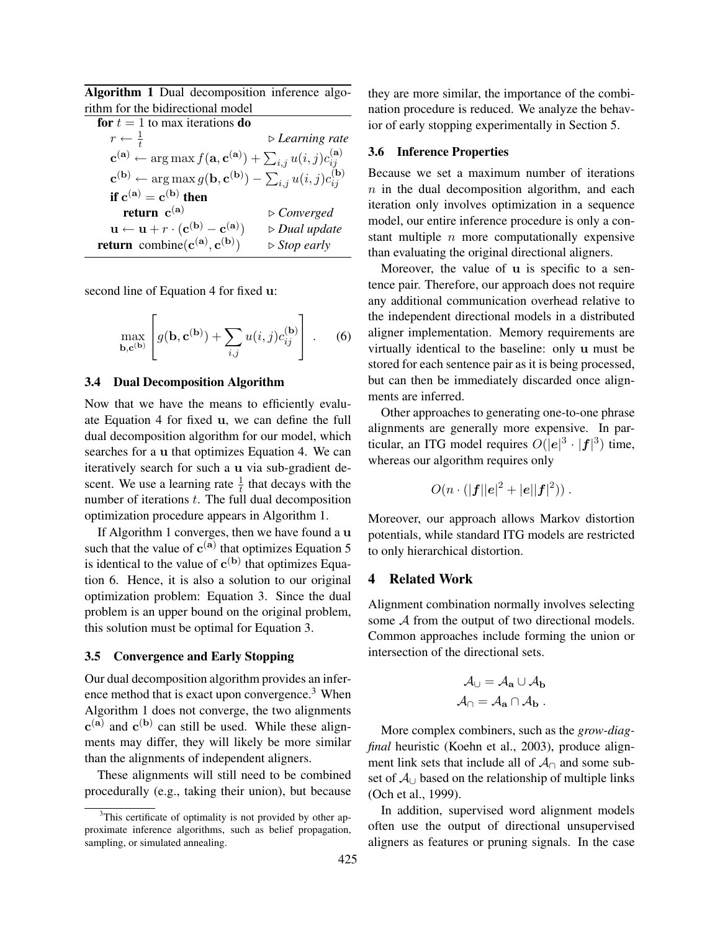Algorithm 1 Dual decomposition inference algorithm for the bidirectional model

| for $t = 1$ to max iterations do                                                                                                    |                                |
|-------------------------------------------------------------------------------------------------------------------------------------|--------------------------------|
| $r \leftarrow \frac{1}{t}$                                                                                                          | $\triangleright$ Learning rate |
| $\mathbf{c}^{(\mathbf{a})} \leftarrow \arg \max f(\mathbf{a}, \mathbf{c}^{(\mathbf{a})}) + \sum_{i,j} u(i,j) c_{ij}^{(\mathbf{a})}$ |                                |
| $\mathbf{c^{(b)}} \leftarrow \arg \max g(\mathbf{b}, \mathbf{c^{(b)}}) - \sum_{i,j} u(i,j) c_{ij}^{(\mathbf{b})}$                   |                                |
| if $c^{(a)} = c^{(b)}$ then                                                                                                         |                                |
| return $c^{(a)}$                                                                                                                    | $\triangleright$ Converged     |
| $\mathbf{u} \leftarrow \mathbf{u} + r \cdot (\mathbf{c^{(b)}} - \mathbf{c^{(a)}})$                                                  | $\triangleright$ Dual update   |
| return combine $(c^{(a)}, c^{(b)})$                                                                                                 | $\triangleright$ Stop early    |
|                                                                                                                                     |                                |

second line of Equation 4 for fixed u:

$$
\max_{\mathbf{b}, \mathbf{c}^{(\mathbf{b})}} \left[ g(\mathbf{b}, \mathbf{c}^{(\mathbf{b})}) + \sum_{i,j} u(i,j) c_{ij}^{(\mathbf{b})} \right].
$$
 (6)

### 3.4 Dual Decomposition Algorithm

Now that we have the means to efficiently evaluate Equation 4 for fixed u, we can define the full dual decomposition algorithm for our model, which searches for a u that optimizes Equation 4. We can iteratively search for such a u via sub-gradient descent. We use a learning rate  $\frac{1}{t}$  that decays with the number of iterations  $t$ . The full dual decomposition optimization procedure appears in Algorithm 1.

If Algorithm 1 converges, then we have found a u such that the value of  $c^{(a)}$  that optimizes Equation 5 is identical to the value of  $c^{(b)}$  that optimizes Equation 6. Hence, it is also a solution to our original optimization problem: Equation 3. Since the dual problem is an upper bound on the original problem, this solution must be optimal for Equation 3.

#### 3.5 Convergence and Early Stopping

Our dual decomposition algorithm provides an inference method that is exact upon convergence.<sup>3</sup> When Algorithm 1 does not converge, the two alignments  $c^{(a)}$  and  $c^{(b)}$  can still be used. While these alignments may differ, they will likely be more similar than the alignments of independent aligners.

These alignments will still need to be combined procedurally (e.g., taking their union), but because they are more similar, the importance of the combination procedure is reduced. We analyze the behavior of early stopping experimentally in Section 5.

#### 3.6 Inference Properties

Because we set a maximum number of iterations  $n$  in the dual decomposition algorithm, and each iteration only involves optimization in a sequence model, our entire inference procedure is only a constant multiple  $n$  more computationally expensive than evaluating the original directional aligners.

Moreover, the value of u is specific to a sentence pair. Therefore, our approach does not require any additional communication overhead relative to the independent directional models in a distributed aligner implementation. Memory requirements are virtually identical to the baseline: only u must be stored for each sentence pair as it is being processed, but can then be immediately discarded once alignments are inferred.

Other approaches to generating one-to-one phrase alignments are generally more expensive. In particular, an ITG model requires  $O(|e|^3 \cdot |\mathbf{f}|^3)$  time, whereas our algorithm requires only

$$
O(n \cdot (|\bm{f}||\bm{e}|^2 + |\bm{e}||\bm{f}|^2))\ .
$$

Moreover, our approach allows Markov distortion potentials, while standard ITG models are restricted to only hierarchical distortion.

#### 4 Related Work

Alignment combination normally involves selecting some A from the output of two directional models. Common approaches include forming the union or intersection of the directional sets.

$$
\mathcal{A}_{\cup} = \mathcal{A}_{\mathbf{a}} \cup \mathcal{A}_{\mathbf{b}} \mathcal{A}_{\cap} = \mathcal{A}_{\mathbf{a}} \cap \mathcal{A}_{\mathbf{b}}.
$$

More complex combiners, such as the *grow-diagfinal* heuristic (Koehn et al., 2003), produce alignment link sets that include all of  $A<sub>∩</sub>$  and some subset of  $A_{\cup}$  based on the relationship of multiple links (Och et al., 1999).

In addition, supervised word alignment models often use the output of directional unsupervised aligners as features or pruning signals. In the case

<sup>&</sup>lt;sup>3</sup>This certificate of optimality is not provided by other approximate inference algorithms, such as belief propagation, sampling, or simulated annealing.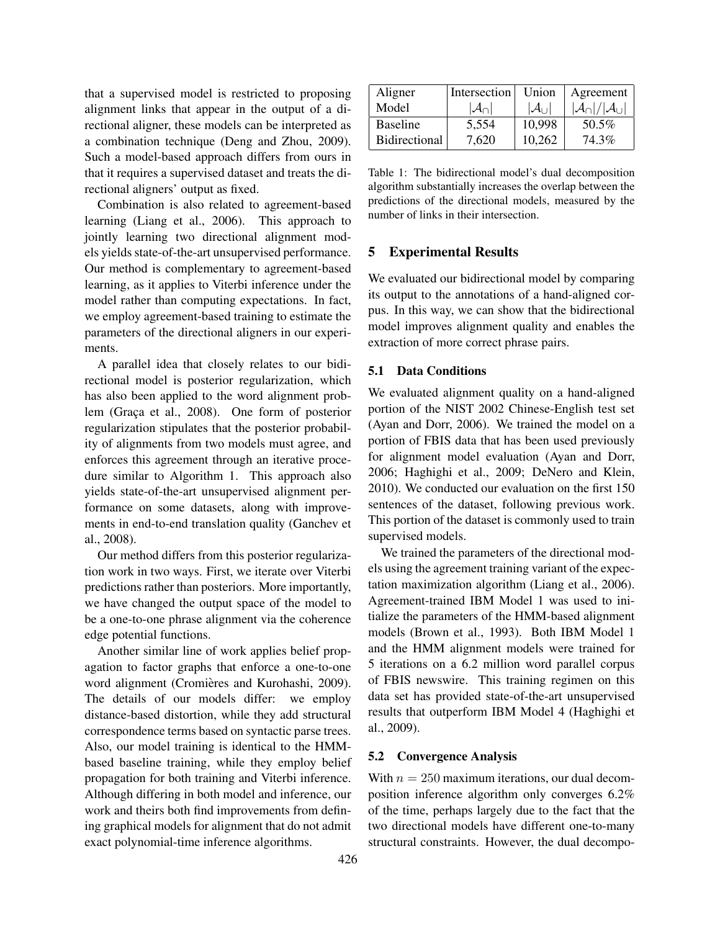that a supervised model is restricted to proposing alignment links that appear in the output of a directional aligner, these models can be interpreted as a combination technique (Deng and Zhou, 2009). Such a model-based approach differs from ours in that it requires a supervised dataset and treats the directional aligners' output as fixed.

Combination is also related to agreement-based learning (Liang et al., 2006). This approach to jointly learning two directional alignment models yields state-of-the-art unsupervised performance. Our method is complementary to agreement-based learning, as it applies to Viterbi inference under the model rather than computing expectations. In fact, we employ agreement-based training to estimate the parameters of the directional aligners in our experiments.

A parallel idea that closely relates to our bidirectional model is posterior regularization, which has also been applied to the word alignment problem (Graça et al., 2008). One form of posterior regularization stipulates that the posterior probability of alignments from two models must agree, and enforces this agreement through an iterative procedure similar to Algorithm 1. This approach also yields state-of-the-art unsupervised alignment performance on some datasets, along with improvements in end-to-end translation quality (Ganchev et al., 2008).

Our method differs from this posterior regularization work in two ways. First, we iterate over Viterbi predictions rather than posteriors. More importantly, we have changed the output space of the model to be a one-to-one phrase alignment via the coherence edge potential functions.

Another similar line of work applies belief propagation to factor graphs that enforce a one-to-one word alignment (Cromières and Kurohashi, 2009). The details of our models differ: we employ distance-based distortion, while they add structural correspondence terms based on syntactic parse trees. Also, our model training is identical to the HMMbased baseline training, while they employ belief propagation for both training and Viterbi inference. Although differing in both model and inference, our work and theirs both find improvements from defining graphical models for alignment that do not admit exact polynomial-time inference algorithms.

| Aligner              | Intersection           | Union                  | Agreement                                   |
|----------------------|------------------------|------------------------|---------------------------------------------|
| Model                | $ \mathcal{A}_{\cap} $ | $ \mathcal{A}_{\cup} $ | $ \mathcal{A}_{\cap} / \mathcal{A}_{\cup} $ |
| <b>Baseline</b>      | 5,554                  | 10,998                 | 50.5%                                       |
| <b>Bidirectional</b> | 7,620                  | 10,262                 | 74.3%                                       |

Table 1: The bidirectional model's dual decomposition algorithm substantially increases the overlap between the predictions of the directional models, measured by the number of links in their intersection.

# 5 Experimental Results

We evaluated our bidirectional model by comparing its output to the annotations of a hand-aligned corpus. In this way, we can show that the bidirectional model improves alignment quality and enables the extraction of more correct phrase pairs.

### 5.1 Data Conditions

We evaluated alignment quality on a hand-aligned portion of the NIST 2002 Chinese-English test set (Ayan and Dorr, 2006). We trained the model on a portion of FBIS data that has been used previously for alignment model evaluation (Ayan and Dorr, 2006; Haghighi et al., 2009; DeNero and Klein, 2010). We conducted our evaluation on the first 150 sentences of the dataset, following previous work. This portion of the dataset is commonly used to train supervised models.

We trained the parameters of the directional models using the agreement training variant of the expectation maximization algorithm (Liang et al., 2006). Agreement-trained IBM Model 1 was used to initialize the parameters of the HMM-based alignment models (Brown et al., 1993). Both IBM Model 1 and the HMM alignment models were trained for 5 iterations on a 6.2 million word parallel corpus of FBIS newswire. This training regimen on this data set has provided state-of-the-art unsupervised results that outperform IBM Model 4 (Haghighi et al., 2009).

## 5.2 Convergence Analysis

With  $n = 250$  maximum iterations, our dual decomposition inference algorithm only converges 6.2% of the time, perhaps largely due to the fact that the two directional models have different one-to-many structural constraints. However, the dual decompo-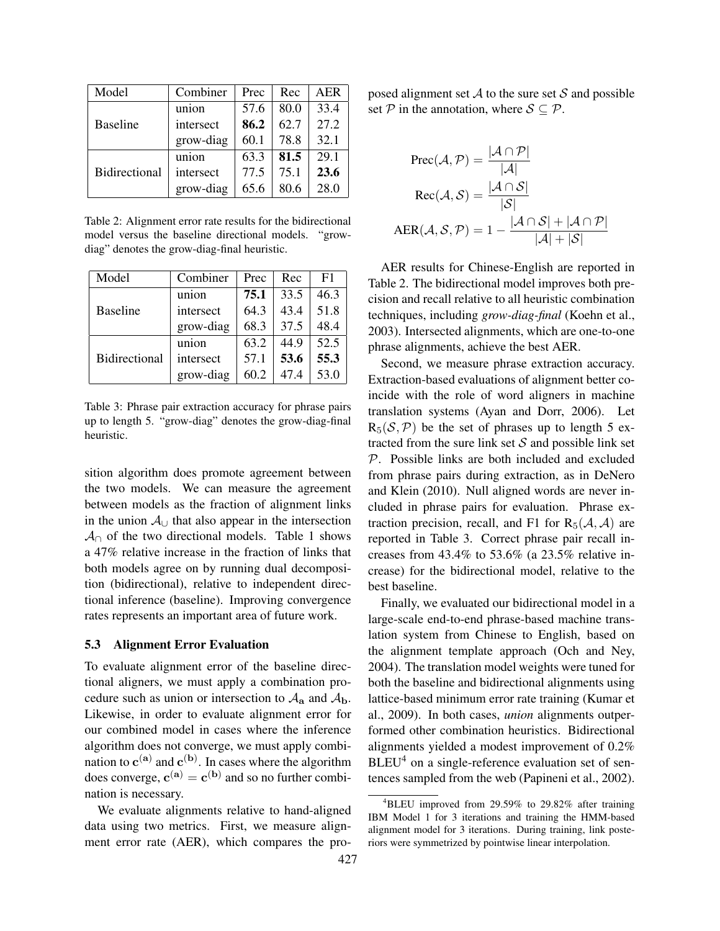| Model                | Combiner  | Prec | Rec  | AER  |
|----------------------|-----------|------|------|------|
| <b>Baseline</b>      | union     | 57.6 | 80.0 | 33.4 |
|                      | intersect | 86.2 | 62.7 | 27.2 |
|                      | grow-diag | 60.1 | 78.8 | 32.1 |
| <b>Bidirectional</b> | union     | 63.3 | 81.5 | 29.1 |
|                      | intersect | 77.5 | 75.1 | 23.6 |
|                      | grow-diag | 65.6 | 80.6 | 28.0 |

Table 2: Alignment error rate results for the bidirectional model versus the baseline directional models. "growdiag" denotes the grow-diag-final heuristic.

| Model                | Combiner  | Prec | Rec  | F1   |
|----------------------|-----------|------|------|------|
| <b>Baseline</b>      | union     | 75.1 | 33.5 | 46.3 |
|                      | intersect | 64.3 | 43.4 | 51.8 |
|                      | grow-diag | 68.3 | 37.5 | 48.4 |
| <b>Bidirectional</b> | union     | 63.2 | 44.9 | 52.5 |
|                      | intersect | 57.1 | 53.6 | 55.3 |
|                      | grow-diag | 60.2 | 47.4 | 53.0 |

Table 3: Phrase pair extraction accuracy for phrase pairs up to length 5. "grow-diag" denotes the grow-diag-final heuristic.

sition algorithm does promote agreement between the two models. We can measure the agreement between models as the fraction of alignment links in the union  $A<sub>∪</sub>$  that also appear in the intersection  $\mathcal{A}_{\cap}$  of the two directional models. Table 1 shows a 47% relative increase in the fraction of links that both models agree on by running dual decomposition (bidirectional), relative to independent directional inference (baseline). Improving convergence rates represents an important area of future work.

#### 5.3 Alignment Error Evaluation

To evaluate alignment error of the baseline directional aligners, we must apply a combination procedure such as union or intersection to  $A_{a}$  and  $A_{b}$ . Likewise, in order to evaluate alignment error for our combined model in cases where the inference algorithm does not converge, we must apply combination to  $c^{(a)}$  and  $c^{(b)}$ . In cases where the algorithm does converge,  $\mathbf{c}^{(\mathbf{a})} = \mathbf{c}^{(\mathbf{b})}$  and so no further combination is necessary.

We evaluate alignments relative to hand-aligned data using two metrics. First, we measure alignment error rate (AER), which compares the proposed alignment set  $A$  to the sure set  $S$  and possible set  $P$  in the annotation, where  $S \subseteq P$ .

$$
Prec(\mathcal{A}, \mathcal{P}) = \frac{|\mathcal{A} \cap \mathcal{P}|}{|\mathcal{A}|}
$$

$$
Rec(\mathcal{A}, \mathcal{S}) = \frac{|\mathcal{A} \cap \mathcal{S}|}{|\mathcal{S}|}
$$

$$
AER(\mathcal{A}, \mathcal{S}, \mathcal{P}) = 1 - \frac{|\mathcal{A} \cap \mathcal{S}| + |\mathcal{A} \cap \mathcal{P}|}{|\mathcal{A}| + |\mathcal{S}|}
$$

AER results for Chinese-English are reported in Table 2. The bidirectional model improves both precision and recall relative to all heuristic combination techniques, including *grow-diag-final* (Koehn et al., 2003). Intersected alignments, which are one-to-one phrase alignments, achieve the best AER.

Second, we measure phrase extraction accuracy. Extraction-based evaluations of alignment better coincide with the role of word aligners in machine translation systems (Ayan and Dorr, 2006). Let  $R_5(S, \mathcal{P})$  be the set of phrases up to length 5 extracted from the sure link set  $S$  and possible link set P. Possible links are both included and excluded from phrase pairs during extraction, as in DeNero and Klein (2010). Null aligned words are never included in phrase pairs for evaluation. Phrase extraction precision, recall, and F1 for  $R_5(A, A)$  are reported in Table 3. Correct phrase pair recall increases from 43.4% to 53.6% (a 23.5% relative increase) for the bidirectional model, relative to the best baseline.

Finally, we evaluated our bidirectional model in a large-scale end-to-end phrase-based machine translation system from Chinese to English, based on the alignment template approach (Och and Ney, 2004). The translation model weights were tuned for both the baseline and bidirectional alignments using lattice-based minimum error rate training (Kumar et al., 2009). In both cases, *union* alignments outperformed other combination heuristics. Bidirectional alignments yielded a modest improvement of 0.2%  $BLEU<sup>4</sup>$  on a single-reference evaluation set of sentences sampled from the web (Papineni et al., 2002).

 ${}^{4}$ BLEU improved from 29.59% to 29.82% after training IBM Model 1 for 3 iterations and training the HMM-based alignment model for 3 iterations. During training, link posteriors were symmetrized by pointwise linear interpolation.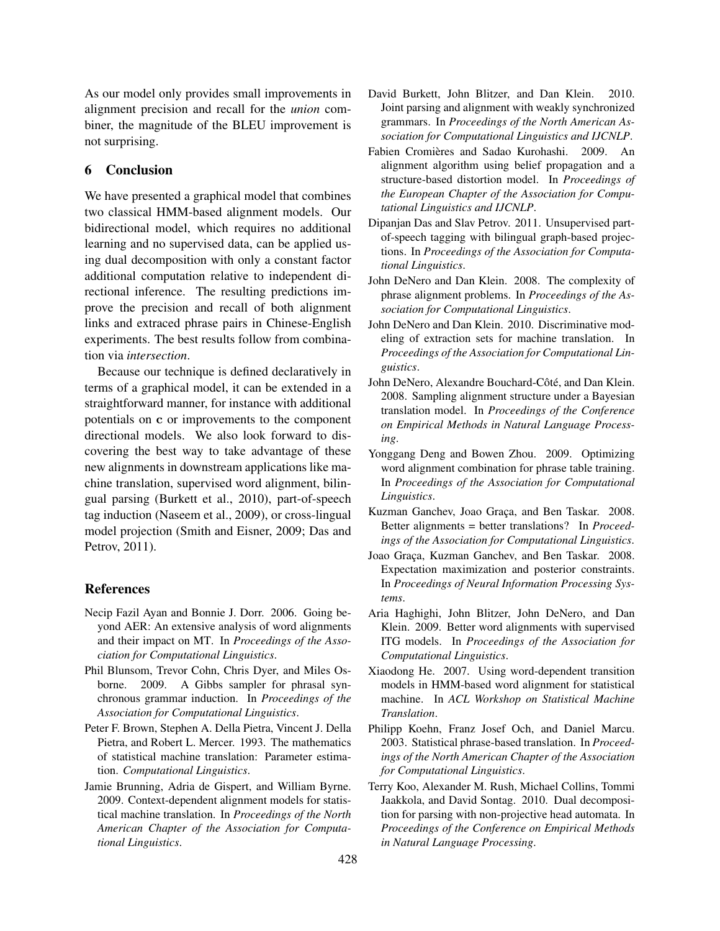As our model only provides small improvements in alignment precision and recall for the *union* combiner, the magnitude of the BLEU improvement is not surprising.

#### 6 Conclusion

We have presented a graphical model that combines two classical HMM-based alignment models. Our bidirectional model, which requires no additional learning and no supervised data, can be applied using dual decomposition with only a constant factor additional computation relative to independent directional inference. The resulting predictions improve the precision and recall of both alignment links and extraced phrase pairs in Chinese-English experiments. The best results follow from combination via *intersection*.

Because our technique is defined declaratively in terms of a graphical model, it can be extended in a straightforward manner, for instance with additional potentials on c or improvements to the component directional models. We also look forward to discovering the best way to take advantage of these new alignments in downstream applications like machine translation, supervised word alignment, bilingual parsing (Burkett et al., 2010), part-of-speech tag induction (Naseem et al., 2009), or cross-lingual model projection (Smith and Eisner, 2009; Das and Petrov, 2011).

### References

- Necip Fazil Ayan and Bonnie J. Dorr. 2006. Going beyond AER: An extensive analysis of word alignments and their impact on MT. In *Proceedings of the Association for Computational Linguistics*.
- Phil Blunsom, Trevor Cohn, Chris Dyer, and Miles Osborne. 2009. A Gibbs sampler for phrasal synchronous grammar induction. In *Proceedings of the Association for Computational Linguistics*.
- Peter F. Brown, Stephen A. Della Pietra, Vincent J. Della Pietra, and Robert L. Mercer. 1993. The mathematics of statistical machine translation: Parameter estimation. *Computational Linguistics*.
- Jamie Brunning, Adria de Gispert, and William Byrne. 2009. Context-dependent alignment models for statistical machine translation. In *Proceedings of the North American Chapter of the Association for Computational Linguistics*.
- David Burkett, John Blitzer, and Dan Klein. 2010. Joint parsing and alignment with weakly synchronized grammars. In *Proceedings of the North American Association for Computational Linguistics and IJCNLP*.
- Fabien Cromières and Sadao Kurohashi. 2009. An alignment algorithm using belief propagation and a structure-based distortion model. In *Proceedings of the European Chapter of the Association for Computational Linguistics and IJCNLP*.
- Dipanjan Das and Slav Petrov. 2011. Unsupervised partof-speech tagging with bilingual graph-based projections. In *Proceedings of the Association for Computational Linguistics*.
- John DeNero and Dan Klein. 2008. The complexity of phrase alignment problems. In *Proceedings of the Association for Computational Linguistics*.
- John DeNero and Dan Klein. 2010. Discriminative modeling of extraction sets for machine translation. In *Proceedings of the Association for Computational Linguistics*.
- John DeNero, Alexandre Bouchard-Côté, and Dan Klein. 2008. Sampling alignment structure under a Bayesian translation model. In *Proceedings of the Conference on Empirical Methods in Natural Language Processing*.
- Yonggang Deng and Bowen Zhou. 2009. Optimizing word alignment combination for phrase table training. In *Proceedings of the Association for Computational Linguistics*.
- Kuzman Ganchev, Joao Graça, and Ben Taskar. 2008. Better alignments = better translations? In *Proceedings of the Association for Computational Linguistics*.
- Joao Graca, Kuzman Ganchev, and Ben Taskar. 2008. Expectation maximization and posterior constraints. In *Proceedings of Neural Information Processing Systems*.
- Aria Haghighi, John Blitzer, John DeNero, and Dan Klein. 2009. Better word alignments with supervised ITG models. In *Proceedings of the Association for Computational Linguistics*.
- Xiaodong He. 2007. Using word-dependent transition models in HMM-based word alignment for statistical machine. In *ACL Workshop on Statistical Machine Translation*.
- Philipp Koehn, Franz Josef Och, and Daniel Marcu. 2003. Statistical phrase-based translation. In *Proceedings of the North American Chapter of the Association for Computational Linguistics*.
- Terry Koo, Alexander M. Rush, Michael Collins, Tommi Jaakkola, and David Sontag. 2010. Dual decomposition for parsing with non-projective head automata. In *Proceedings of the Conference on Empirical Methods in Natural Language Processing*.